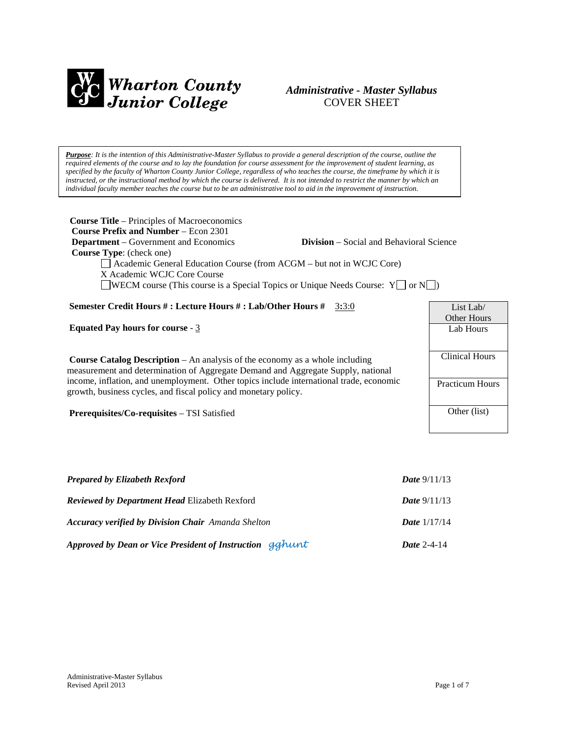

### *Administrative - Master Syllabus*  COVER SHEET

*Purpose: It is the intention of this Administrative-Master Syllabus to provide a general description of the course, outline the required elements of the course and to lay the foundation for course assessment for the improvement of student learning, as specified by the faculty of Wharton County Junior College, regardless of who teaches the course, the timeframe by which it is instructed, or the instructional method by which the course is delivered. It is not intended to restrict the manner by which an individual faculty member teaches the course but to be an administrative tool to aid in the improvement of instruction.*

| <b>Course Title</b> – Principles of Macroeconomics                                                                                                                                                                                                                                         |                        |  |
|--------------------------------------------------------------------------------------------------------------------------------------------------------------------------------------------------------------------------------------------------------------------------------------------|------------------------|--|
| <b>Course Prefix and Number – Econ 2301</b><br><b>Department</b> – Government and Economics<br><b>Division</b> – Social and Behavioral Science<br>Course Type: (check one)<br>$\Box$ Academic General Education Course (from ACGM $-$ but not in WCJC Core)<br>X Academic WCJC Core Course |                        |  |
| $\Box$ WECM course (This course is a Special Topics or Unique Needs Course: $Y\Box$ or $N\Box$ )                                                                                                                                                                                           |                        |  |
| Semester Credit Hours # : Lecture Hours # : Lab/Other Hours #<br>3:3:0                                                                                                                                                                                                                     | List Lab/              |  |
|                                                                                                                                                                                                                                                                                            | <b>Other Hours</b>     |  |
| <b>Equated Pay hours for course - 3</b>                                                                                                                                                                                                                                                    | Lab Hours              |  |
|                                                                                                                                                                                                                                                                                            |                        |  |
| <b>Course Catalog Description</b> $-$ An analysis of the economy as a whole including                                                                                                                                                                                                      | <b>Clinical Hours</b>  |  |
| measurement and determination of Aggregate Demand and Aggregate Supply, national                                                                                                                                                                                                           |                        |  |
| income, inflation, and unemployment. Other topics include international trade, economic                                                                                                                                                                                                    | <b>Practicum Hours</b> |  |
| growth, business cycles, and fiscal policy and monetary policy.                                                                                                                                                                                                                            |                        |  |

**Prerequisites/Co-requisites** – TSI Satisfied

| <b>Prepared by Elizabeth Rexford</b>                      | <b>Date</b> $9/11/13$ |
|-----------------------------------------------------------|-----------------------|
| <b>Reviewed by Department Head Elizabeth Rexford</b>      | <b>Date</b> $9/11/13$ |
| <b>Accuracy verified by Division Chair</b> Amanda Shelton | <b>Date</b> $1/17/14$ |
| Approved by Dean or Vice President of Instruction gghunt  | <i>Date</i> 2-4-14    |

Other (list)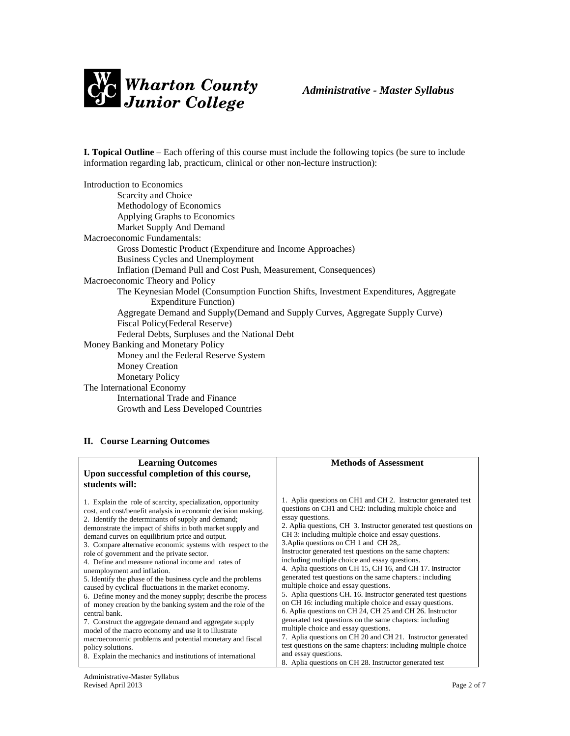

**I. Topical Outline** – Each offering of this course must include the following topics (be sure to include information regarding lab, practicum, clinical or other non-lecture instruction):

| Introduction to Economics                                                            |
|--------------------------------------------------------------------------------------|
| Scarcity and Choice                                                                  |
| Methodology of Economics                                                             |
| Applying Graphs to Economics                                                         |
| Market Supply And Demand                                                             |
| Macroeconomic Fundamentals:                                                          |
| Gross Domestic Product (Expenditure and Income Approaches)                           |
| Business Cycles and Unemployment                                                     |
| Inflation (Demand Pull and Cost Push, Measurement, Consequences)                     |
| Macroeconomic Theory and Policy                                                      |
| The Keynesian Model (Consumption Function Shifts, Investment Expenditures, Aggregate |
| <b>Expenditure Function</b> )                                                        |
| Aggregate Demand and Supply(Demand and Supply Curves, Aggregate Supply Curve)        |
| Fiscal Policy(Federal Reserve)                                                       |
| Federal Debts, Surpluses and the National Debt                                       |
| Money Banking and Monetary Policy                                                    |
| Money and the Federal Reserve System                                                 |
| <b>Money Creation</b>                                                                |
| <b>Monetary Policy</b>                                                               |
| The International Economy                                                            |
| International Trade and Finance                                                      |
| Growth and Less Developed Countries                                                  |

#### **II. Course Learning Outcomes**

| <b>Learning Outcomes</b>                                                                                                                                                                                                                                                                                                                                                                                                                                                                                                                                                                                                                                                                                                                                                                                                                                                                                                                                                                                                                     | <b>Methods of Assessment</b>                                                                                                                                                                                                                                                                                                                                                                                                                                                                                                                                                                                                                                                                                                                                                                                                                                                                                                                                                                                                                                                                                        |
|----------------------------------------------------------------------------------------------------------------------------------------------------------------------------------------------------------------------------------------------------------------------------------------------------------------------------------------------------------------------------------------------------------------------------------------------------------------------------------------------------------------------------------------------------------------------------------------------------------------------------------------------------------------------------------------------------------------------------------------------------------------------------------------------------------------------------------------------------------------------------------------------------------------------------------------------------------------------------------------------------------------------------------------------|---------------------------------------------------------------------------------------------------------------------------------------------------------------------------------------------------------------------------------------------------------------------------------------------------------------------------------------------------------------------------------------------------------------------------------------------------------------------------------------------------------------------------------------------------------------------------------------------------------------------------------------------------------------------------------------------------------------------------------------------------------------------------------------------------------------------------------------------------------------------------------------------------------------------------------------------------------------------------------------------------------------------------------------------------------------------------------------------------------------------|
| Upon successful completion of this course,                                                                                                                                                                                                                                                                                                                                                                                                                                                                                                                                                                                                                                                                                                                                                                                                                                                                                                                                                                                                   |                                                                                                                                                                                                                                                                                                                                                                                                                                                                                                                                                                                                                                                                                                                                                                                                                                                                                                                                                                                                                                                                                                                     |
| students will:                                                                                                                                                                                                                                                                                                                                                                                                                                                                                                                                                                                                                                                                                                                                                                                                                                                                                                                                                                                                                               |                                                                                                                                                                                                                                                                                                                                                                                                                                                                                                                                                                                                                                                                                                                                                                                                                                                                                                                                                                                                                                                                                                                     |
| 1. Explain the role of scarcity, specialization, opportunity<br>cost, and cost/benefit analysis in economic decision making.<br>2. Identify the determinants of supply and demand;<br>demonstrate the impact of shifts in both market supply and<br>demand curves on equilibrium price and output.<br>3. Compare alternative economic systems with respect to the<br>role of government and the private sector.<br>4. Define and measure national income and rates of<br>unemployment and inflation.<br>5. Identify the phase of the business cycle and the problems<br>caused by cyclical fluctuations in the market economy.<br>6. Define money and the money supply; describe the process<br>of money creation by the banking system and the role of the<br>central bank.<br>7. Construct the aggregate demand and aggregate supply<br>model of the macro economy and use it to illustrate<br>macroeconomic problems and potential monetary and fiscal<br>policy solutions.<br>8. Explain the mechanics and institutions of international | 1. Aplia questions on CH1 and CH2. Instructor generated test<br>questions on CH1 and CH2: including multiple choice and<br>essay questions.<br>2. Aplia questions, CH 3. Instructor generated test questions on<br>CH 3: including multiple choice and essay questions.<br>3. Aplia questions on CH 1 and CH 28,.<br>Instructor generated test questions on the same chapters:<br>including multiple choice and essay questions.<br>4. Aplia questions on CH 15, CH 16, and CH 17. Instructor<br>generated test questions on the same chapters.: including<br>multiple choice and essay questions.<br>5. Aplia questions CH. 16. Instructor generated test questions<br>on CH 16: including multiple choice and essay questions.<br>6. Aplia questions on CH 24, CH 25 and CH 26. Instructor<br>generated test questions on the same chapters: including<br>multiple choice and essay questions.<br>7. Aplia questions on CH 20 and CH 21. Instructor generated<br>test questions on the same chapters: including multiple choice<br>and essay questions.<br>8. Aplia questions on CH 28. Instructor generated test |
|                                                                                                                                                                                                                                                                                                                                                                                                                                                                                                                                                                                                                                                                                                                                                                                                                                                                                                                                                                                                                                              |                                                                                                                                                                                                                                                                                                                                                                                                                                                                                                                                                                                                                                                                                                                                                                                                                                                                                                                                                                                                                                                                                                                     |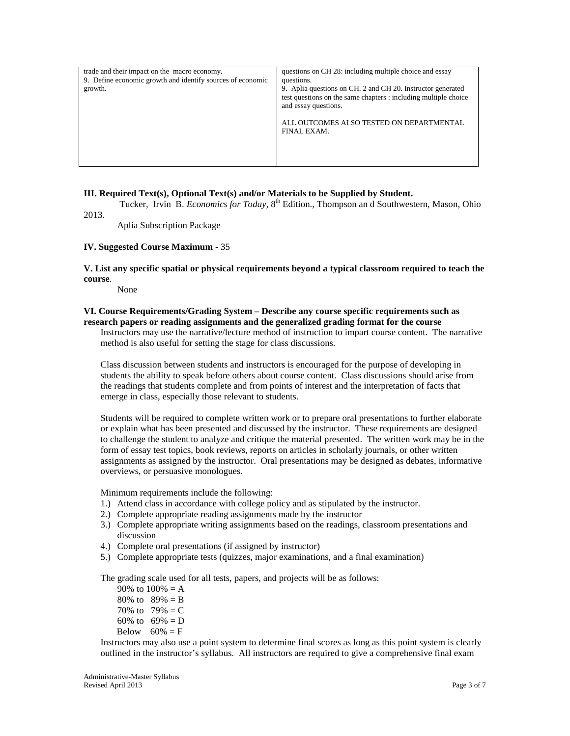| trade and their impact on the macro economy.<br>9. Define economic growth and identify sources of economic<br>growth. | questions on CH 28: including multiple choice and essay<br>questions.<br>9. Aplia questions on CH. 2 and CH 20. Instructor generated<br>test questions on the same chapters : including multiple choice<br>and essay questions.<br>ALL OUTCOMES ALSO TESTED ON DEPARTMENTAL<br>FINAL EXAM. |
|-----------------------------------------------------------------------------------------------------------------------|--------------------------------------------------------------------------------------------------------------------------------------------------------------------------------------------------------------------------------------------------------------------------------------------|
|-----------------------------------------------------------------------------------------------------------------------|--------------------------------------------------------------------------------------------------------------------------------------------------------------------------------------------------------------------------------------------------------------------------------------------|

#### **III. Required Text(s), Optional Text(s) and/or Materials to be Supplied by Student.**

Tucker, Irvin B. *Economics for Today*, 8<sup>th</sup> Edition., Thompson and Southwestern, Mason, Ohio 2013.

Aplia Subscription Package

#### **IV. Suggested Course Maximum** - 35

#### **V. List any specific spatial or physical requirements beyond a typical classroom required to teach the course**.

None

#### **VI. Course Requirements/Grading System – Describe any course specific requirements such as research papers or reading assignments and the generalized grading format for the course**

Instructors may use the narrative/lecture method of instruction to impart course content. The narrative method is also useful for setting the stage for class discussions.

Class discussion between students and instructors is encouraged for the purpose of developing in students the ability to speak before others about course content. Class discussions should arise from the readings that students complete and from points of interest and the interpretation of facts that emerge in class, especially those relevant to students.

Students will be required to complete written work or to prepare oral presentations to further elaborate or explain what has been presented and discussed by the instructor. These requirements are designed to challenge the student to analyze and critique the material presented. The written work may be in the form of essay test topics, book reviews, reports on articles in scholarly journals, or other written assignments as assigned by the instructor. Oral presentations may be designed as debates, informative overviews, or persuasive monologues.

Minimum requirements include the following:

- 1.) Attend class in accordance with college policy and as stipulated by the instructor.
- 2.) Complete appropriate reading assignments made by the instructor
- 3.) Complete appropriate writing assignments based on the readings, classroom presentations and discussion
- 4.) Complete oral presentations (if assigned by instructor)
- 5.) Complete appropriate tests (quizzes, major examinations, and a final examination)

The grading scale used for all tests, papers, and projects will be as follows:

90% to  $100% = A$ 80% to  $89% = B$ 70% to  $79% = C$ 60% to  $69\% = D$ Below  $60\% = F$ 

Instructors may also use a point system to determine final scores as long as this point system is clearly outlined in the instructor's syllabus. All instructors are required to give a comprehensive final exam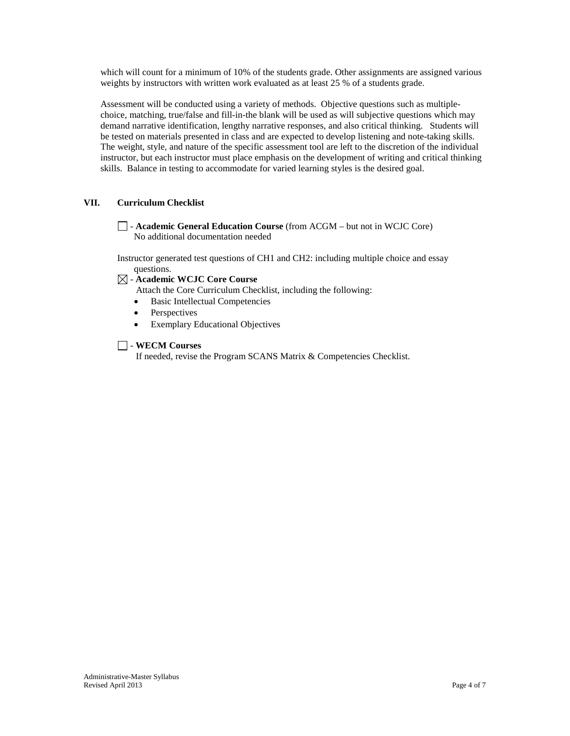which will count for a minimum of 10% of the students grade. Other assignments are assigned various weights by instructors with written work evaluated as at least 25 % of a students grade.

Assessment will be conducted using a variety of methods. Objective questions such as multiplechoice, matching, true/false and fill-in-the blank will be used as will subjective questions which may demand narrative identification, lengthy narrative responses, and also critical thinking. Students will be tested on materials presented in class and are expected to develop listening and note-taking skills. The weight, style, and nature of the specific assessment tool are left to the discretion of the individual instructor, but each instructor must place emphasis on the development of writing and critical thinking skills. Balance in testing to accommodate for varied learning styles is the desired goal.

#### **VII. Curriculum Checklist**

- **Academic General Education Course** (from ACGM – but not in WCJC Core) No additional documentation needed

Instructor generated test questions of CH1 and CH2: including multiple choice and essay questions.

- **Academic WCJC Core Course**

Attach the Core Curriculum Checklist, including the following:

- Basic Intellectual Competencies
- **Perspectives**
- Exemplary Educational Objectives

#### - **WECM Courses**

If needed, revise the Program SCANS Matrix & Competencies Checklist.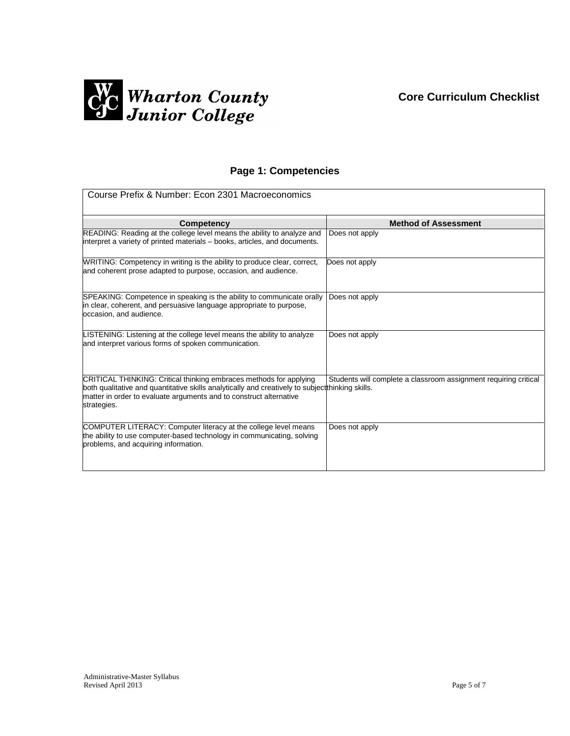# **Core Curriculum Checklist**



# **Page 1: Competencies**

| Course Prefix & Number: Econ 2301 Macroeconomics                                                                                                                                                                                                            |                                                                  |  |
|-------------------------------------------------------------------------------------------------------------------------------------------------------------------------------------------------------------------------------------------------------------|------------------------------------------------------------------|--|
| Competency                                                                                                                                                                                                                                                  | <b>Method of Assessment</b>                                      |  |
| READING: Reading at the college level means the ability to analyze and<br>interpret a variety of printed materials – books, articles, and documents.                                                                                                        | Does not apply                                                   |  |
| WRITING: Competency in writing is the ability to produce clear, correct,<br>and coherent prose adapted to purpose, occasion, and audience.                                                                                                                  | Does not apply                                                   |  |
| SPEAKING: Competence in speaking is the ability to communicate orally<br>in clear, coherent, and persuasive language appropriate to purpose,<br>occasion, and audience.                                                                                     | Does not apply                                                   |  |
| LISTENING: Listening at the college level means the ability to analyze<br>and interpret various forms of spoken communication.                                                                                                                              | Does not apply                                                   |  |
| CRITICAL THINKING: Critical thinking embraces methods for applying<br>both qualitative and quantitative skills analytically and creatively to subject thinking skills.<br>matter in order to evaluate arguments and to construct alternative<br>strategies. | Students will complete a classroom assignment requiring critical |  |
| COMPUTER LITERACY: Computer literacy at the college level means<br>the ability to use computer-based technology in communicating, solving<br>problems, and acquiring information.                                                                           | Does not apply                                                   |  |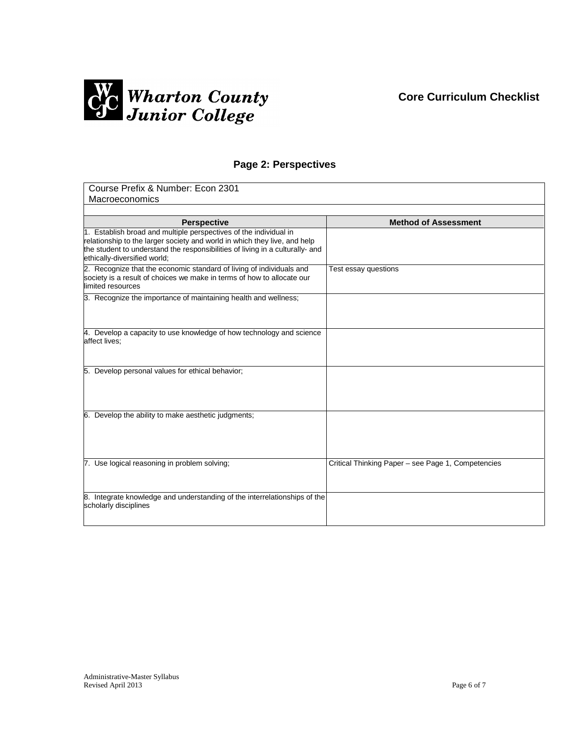## **Core Curriculum Checklist**



### **Page 2: Perspectives**

| Course Prefix & Number: Econ 2301                                                                                                                                                                                                                               |                                                    |  |
|-----------------------------------------------------------------------------------------------------------------------------------------------------------------------------------------------------------------------------------------------------------------|----------------------------------------------------|--|
| Macroeconomics                                                                                                                                                                                                                                                  |                                                    |  |
|                                                                                                                                                                                                                                                                 |                                                    |  |
| <b>Perspective</b>                                                                                                                                                                                                                                              | <b>Method of Assessment</b>                        |  |
| 1. Establish broad and multiple perspectives of the individual in<br>relationship to the larger society and world in which they live, and help<br>the student to understand the responsibilities of living in a culturally- and<br>ethically-diversified world; |                                                    |  |
| 2. Recognize that the economic standard of living of individuals and<br>society is a result of choices we make in terms of how to allocate our<br>limited resources                                                                                             | Test essay questions                               |  |
| 3. Recognize the importance of maintaining health and wellness;                                                                                                                                                                                                 |                                                    |  |
| 4. Develop a capacity to use knowledge of how technology and science<br>affect lives;                                                                                                                                                                           |                                                    |  |
| 5. Develop personal values for ethical behavior;                                                                                                                                                                                                                |                                                    |  |
| 6. Develop the ability to make aesthetic judgments;                                                                                                                                                                                                             |                                                    |  |
| 7. Use logical reasoning in problem solving;                                                                                                                                                                                                                    | Critical Thinking Paper - see Page 1, Competencies |  |
| 8. Integrate knowledge and understanding of the interrelationships of the<br>scholarly disciplines                                                                                                                                                              |                                                    |  |